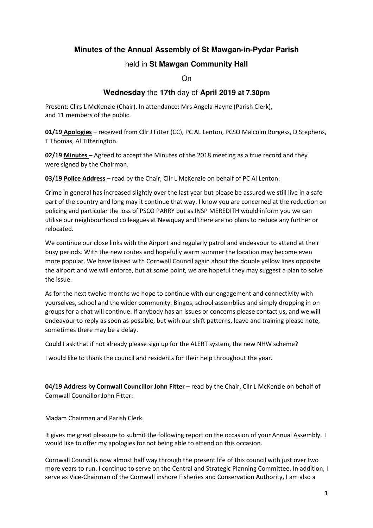# **Minutes of the Annual Assembly of St Mawgan-in-Pydar Parish**

### held in **St Mawgan Community Hall**

On

## **Wednesday** the **17th** day of **April 2019 at 7.30pm**

Present: Cllrs L McKenzie (Chair). In attendance: Mrs Angela Hayne (Parish Clerk), and 11 members of the public.

**01/19 Apologies** – received from Cllr J Fitter (CC), PC AL Lenton, PCSO Malcolm Burgess, D Stephens, T Thomas, Al Titterington.

**02/19 Minutes** – Agreed to accept the Minutes of the 2018 meeting as a true record and they were signed by the Chairman.

**03/19 Police Address** – read by the Chair, Cllr L McKenzie on behalf of PC Al Lenton:

Crime in general has increased slightly over the last year but please be assured we still live in a safe part of the country and long may it continue that way. I know you are concerned at the reduction on policing and particular the loss of PSCO PARRY but as INSP MEREDITH would inform you we can utilise our neighbourhood colleagues at Newquay and there are no plans to reduce any further or relocated.

We continue our close links with the Airport and regularly patrol and endeavour to attend at their busy periods. With the new routes and hopefully warm summer the location may become even more popular. We have liaised with Cornwall Council again about the double yellow lines opposite the airport and we will enforce, but at some point, we are hopeful they may suggest a plan to solve the issue.

As for the next twelve months we hope to continue with our engagement and connectivity with yourselves, school and the wider community. Bingos, school assemblies and simply dropping in on groups for a chat will continue. If anybody has an issues or concerns please contact us, and we will endeavour to reply as soon as possible, but with our shift patterns, leave and training please note, sometimes there may be a delay.

Could I ask that if not already please sign up for the ALERT system, the new NHW scheme?

I would like to thank the council and residents for their help throughout the year.

**04/19 Address by Cornwall Councillor John Fitter** – read by the Chair, Cllr L McKenzie on behalf of Cornwall Councillor John Fitter:

Madam Chairman and Parish Clerk.

It gives me great pleasure to submit the following report on the occasion of your Annual Assembly. I would like to offer my apologies for not being able to attend on this occasion.

Cornwall Council is now almost half way through the present life of this council with just over two more years to run. I continue to serve on the Central and Strategic Planning Committee. In addition, I serve as Vice-Chairman of the Cornwall inshore Fisheries and Conservation Authority, I am also a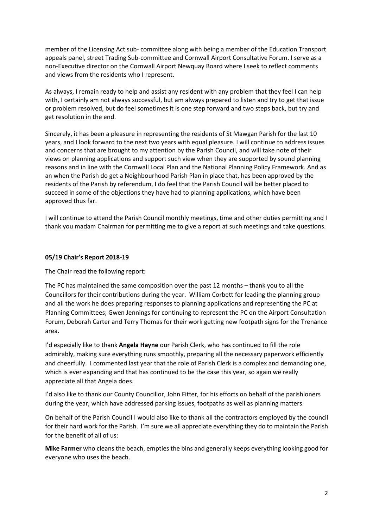member of the Licensing Act sub- committee along with being a member of the Education Transport appeals panel, street Trading Sub-committee and Cornwall Airport Consultative Forum. I serve as a non-Executive director on the Cornwall Airport Newquay Board where I seek to reflect comments and views from the residents who I represent.

As always, I remain ready to help and assist any resident with any problem that they feel I can help with, I certainly am not always successful, but am always prepared to listen and try to get that issue or problem resolved, but do feel sometimes it is one step forward and two steps back, but try and get resolution in the end.

Sincerely, it has been a pleasure in representing the residents of St Mawgan Parish for the last 10 years, and I look forward to the next two years with equal pleasure. I will continue to address issues and concerns that are brought to my attention by the Parish Council, and will take note of their views on planning applications and support such view when they are supported by sound planning reasons and in line with the Cornwall Local Plan and the National Planning Policy Framework. And as an when the Parish do get a Neighbourhood Parish Plan in place that, has been approved by the residents of the Parish by referendum, I do feel that the Parish Council will be better placed to succeed in some of the objections they have had to planning applications, which have been approved thus far.

I will continue to attend the Parish Council monthly meetings, time and other duties permitting and I thank you madam Chairman for permitting me to give a report at such meetings and take questions.

#### **05/19 Chair's Report 2018-19**

The Chair read the following report:

The PC has maintained the same composition over the past 12 months – thank you to all the Councillors for their contributions during the year. William Corbett for leading the planning group and all the work he does preparing responses to planning applications and representing the PC at Planning Committees; Gwen Jennings for continuing to represent the PC on the Airport Consultation Forum, Deborah Carter and Terry Thomas for their work getting new footpath signs for the Trenance area.

I'd especially like to thank **Angela Hayne** our Parish Clerk, who has continued to fill the role admirably, making sure everything runs smoothly, preparing all the necessary paperwork efficiently and cheerfully. I commented last year that the role of Parish Clerk is a complex and demanding one, which is ever expanding and that has continued to be the case this year, so again we really appreciate all that Angela does.

I'd also like to thank our County Councillor, John Fitter, for his efforts on behalf of the parishioners during the year, which have addressed parking issues, footpaths as well as planning matters.

On behalf of the Parish Council I would also like to thank all the contractors employed by the council for their hard work for the Parish. I'm sure we all appreciate everything they do to maintain the Parish for the benefit of all of us:

**Mike Farmer** who cleans the beach, empties the bins and generally keeps everything looking good for everyone who uses the beach.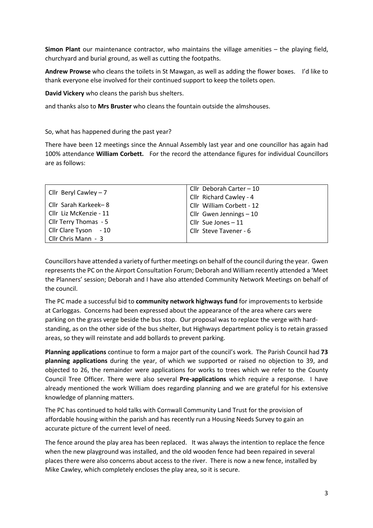**Simon Plant** our maintenance contractor, who maintains the village amenities – the playing field, churchyard and burial ground, as well as cutting the footpaths.

**Andrew Prowse** who cleans the toilets in St Mawgan, as well as adding the flower boxes. I'd like to thank everyone else involved for their continued support to keep the toilets open.

**David Vickery** who cleans the parish bus shelters.

and thanks also to **Mrs Bruster** who cleans the fountain outside the almshouses.

So, what has happened during the past year?

There have been 12 meetings since the Annual Assembly last year and one councillor has again had 100% attendance **William Corbett.** For the record the attendance figures for individual Councillors are as follows:

| Cllr Beryl Cawley $-7$ | Cllr Deborah Carter - 10  |
|------------------------|---------------------------|
|                        | Cllr Richard Cawley - 4   |
| Cllr Sarah Karkeek-8   | Cllr William Corbett - 12 |
| Cllr Liz McKenzie - 11 | Cllr Gwen Jennings $-10$  |
| Cllr Terry Thomas - 5  | Cllr Sue Jones - 11       |
| Cllr Clare Tyson - 10  | Cllr Steve Tavener - 6    |
| Cllr Chris Mann - 3    |                           |

Councillors have attended a variety of further meetings on behalf of the council during the year. Gwen represents the PC on the Airport Consultation Forum; Deborah and William recently attended a 'Meet the Planners' session; Deborah and I have also attended Community Network Meetings on behalf of the council.

The PC made a successful bid to **community network highways fund** for improvements to kerbside at Carloggas. Concerns had been expressed about the appearance of the area where cars were parking on the grass verge beside the bus stop. Our proposal was to replace the verge with hardstanding, as on the other side of the bus shelter, but Highways department policy is to retain grassed areas, so they will reinstate and add bollards to prevent parking.

**Planning applications** continue to form a major part of the council's work. The Parish Council had **73 planning applications** during the year, of which we supported or raised no objection to 39, and objected to 26, the remainder were applications for works to trees which we refer to the County Council Tree Officer. There were also several **Pre-applications** which require a response. I have already mentioned the work William does regarding planning and we are grateful for his extensive knowledge of planning matters.

The PC has continued to hold talks with Cornwall Community Land Trust for the provision of affordable housing within the parish and has recently run a Housing Needs Survey to gain an accurate picture of the current level of need.

The fence around the play area has been replaced. It was always the intention to replace the fence when the new playground was installed, and the old wooden fence had been repaired in several places there were also concerns about access to the river. There is now a new fence, installed by Mike Cawley, which completely encloses the play area, so it is secure.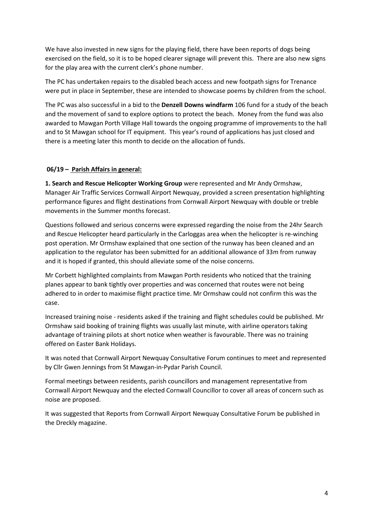We have also invested in new signs for the playing field, there have been reports of dogs being exercised on the field, so it is to be hoped clearer signage will prevent this. There are also new signs for the play area with the current clerk's phone number.

The PC has undertaken repairs to the disabled beach access and new footpath signs for Trenance were put in place in September, these are intended to showcase poems by children from the school.

The PC was also successful in a bid to the **Denzell Downs windfarm** 106 fund for a study of the beach and the movement of sand to explore options to protect the beach. Money from the fund was also awarded to Mawgan Porth Village Hall towards the ongoing programme of improvements to the hall and to St Mawgan school for IT equipment. This year's round of applications has just closed and there is a meeting later this month to decide on the allocation of funds.

### **06/19 – Parish Affairs in general:**

**1. Search and Rescue Helicopter Working Group** were represented and Mr Andy Ormshaw, Manager Air Traffic Services Cornwall Airport Newquay, provided a screen presentation highlighting performance figures and flight destinations from Cornwall Airport Newquay with double or treble movements in the Summer months forecast.

Questions followed and serious concerns were expressed regarding the noise from the 24hr Search and Rescue Helicopter heard particularly in the Carloggas area when the helicopter is re-winching post operation. Mr Ormshaw explained that one section of the runway has been cleaned and an application to the regulator has been submitted for an additional allowance of 33m from runway and it is hoped if granted, this should alleviate some of the noise concerns.

Mr Corbett highlighted complaints from Mawgan Porth residents who noticed that the training planes appear to bank tightly over properties and was concerned that routes were not being adhered to in order to maximise flight practice time. Mr Ormshaw could not confirm this was the case.

Increased training noise - residents asked if the training and flight schedules could be published. Mr Ormshaw said booking of training flights was usually last minute, with airline operators taking advantage of training pilots at short notice when weather is favourable. There was no training offered on Easter Bank Holidays.

It was noted that Cornwall Airport Newquay Consultative Forum continues to meet and represented by Cllr Gwen Jennings from St Mawgan-in-Pydar Parish Council.

Formal meetings between residents, parish councillors and management representative from Cornwall Airport Newquay and the elected Cornwall Councillor to cover all areas of concern such as noise are proposed.

It was suggested that Reports from Cornwall Airport Newquay Consultative Forum be published in the Dreckly magazine.